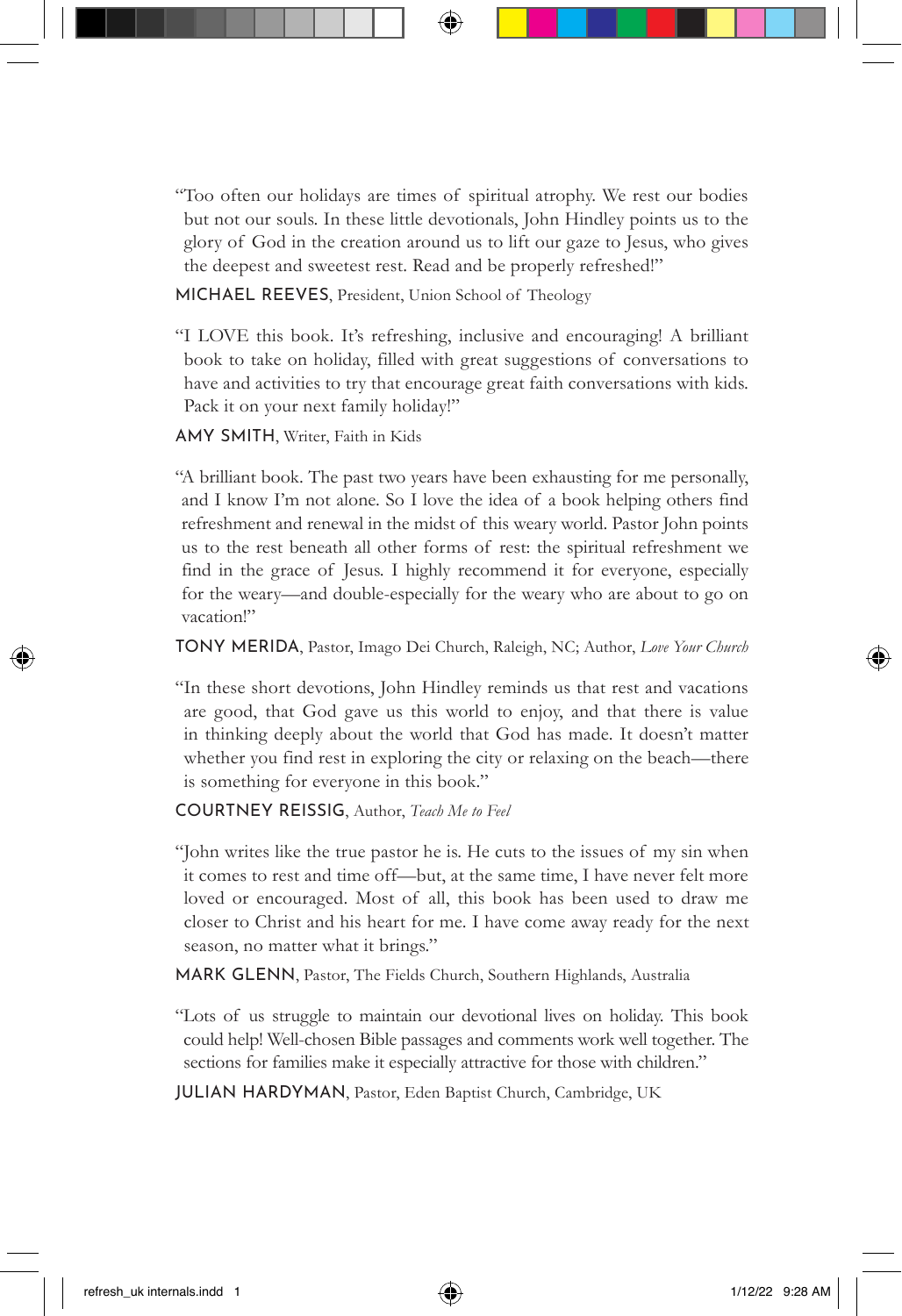"Too often our holidays are times of spiritual atrophy. We rest our bodies but not our souls. In these little devotionals, John Hindley points us to the glory of God in the creation around us to lift our gaze to Jesus, who gives the deepest and sweetest rest. Read and be properly refreshed!"

MICHAEL REEVES, President, Union School of Theology

"I LOVE this book. It's refreshing, inclusive and encouraging! A brilliant book to take on holiday, filled with great suggestions of conversations to have and activities to try that encourage great faith conversations with kids. Pack it on your next family holiday!"

AMY SMITH, Writer, Faith in Kids

"A brilliant book. The past two years have been exhausting for me personally, and I know I'm not alone. So I love the idea of a book helping others find refreshment and renewal in the midst of this weary world. Pastor John points us to the rest beneath all other forms of rest: the spiritual refreshment we find in the grace of Jesus. I highly recommend it for everyone, especially for the weary—and double-especially for the weary who are about to go on vacation!"

TONY MERIDA, Pastor, Imago Dei Church, Raleigh, NC; Author, *Love Your Church*

"In these short devotions, John Hindley reminds us that rest and vacations are good, that God gave us this world to enjoy, and that there is value in thinking deeply about the world that God has made. It doesn't matter whether you find rest in exploring the city or relaxing on the beach—there is something for everyone in this book."

COURTNEY REISSIG, Author, *Teach Me to Feel*

"John writes like the true pastor he is. He cuts to the issues of my sin when it comes to rest and time off—but, at the same time, I have never felt more loved or encouraged. Most of all, this book has been used to draw me closer to Christ and his heart for me. I have come away ready for the next season, no matter what it brings."

MARK GLENN, Pastor, The Fields Church, Southern Highlands, Australia

"Lots of us struggle to maintain our devotional lives on holiday. This book could help! Well-chosen Bible passages and comments work well together. The sections for families make it especially attractive for those with children."

JULIAN HARDYMAN, Pastor, Eden Baptist Church, Cambridge, UK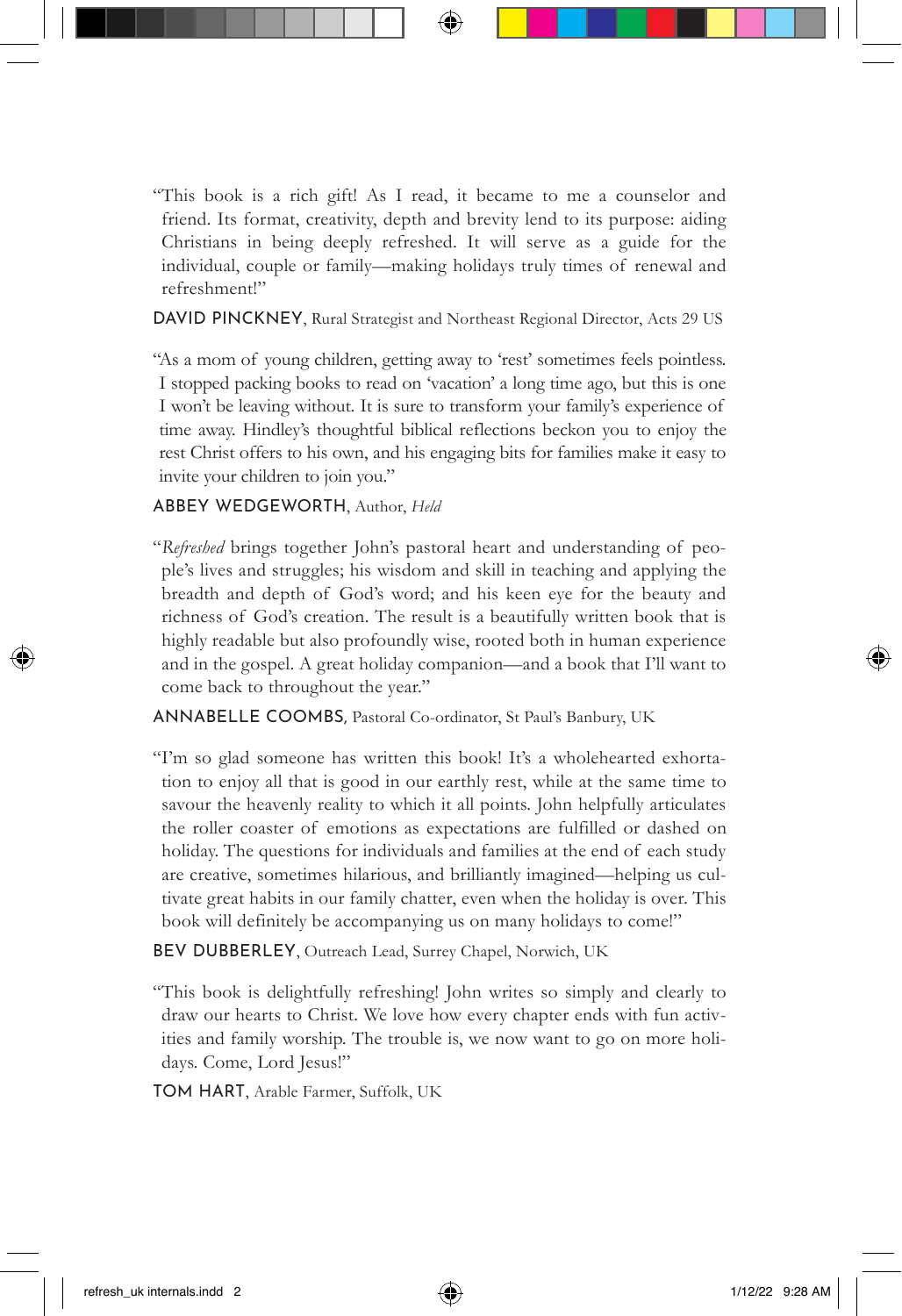"This book is a rich gift! As I read, it became to me a counselor and friend. Its format, creativity, depth and brevity lend to its purpose: aiding Christians in being deeply refreshed. It will serve as a guide for the individual, couple or family—making holidays truly times of renewal and refreshment!"

DAVID PINCKNEY, Rural Strategist and Northeast Regional Director, Acts 29 US

"As a mom of young children, getting away to 'rest' sometimes feels pointless. I stopped packing books to read on 'vacation' a long time ago, but this is one I won't be leaving without. It is sure to transform your family's experience of time away. Hindley's thoughtful biblical reflections beckon you to enjoy the rest Christ offers to his own, and his engaging bits for families make it easy to invite your children to join you."

ABBEY WEDGEWORTH, Author, *Held*

"*Refreshed* brings together John's pastoral heart and understanding of people's lives and struggles; his wisdom and skill in teaching and applying the breadth and depth of God's word; and his keen eye for the beauty and richness of God's creation. The result is a beautifully written book that is highly readable but also profoundly wise, rooted both in human experience and in the gospel. A great holiday companion—and a book that I'll want to come back to throughout the year."

ANNABELLE COOMBS, Pastoral Co-ordinator, St Paul's Banbury, UK

- "I'm so glad someone has written this book! It's a wholehearted exhortation to enjoy all that is good in our earthly rest, while at the same time to savour the heavenly reality to which it all points. John helpfully articulates the roller coaster of emotions as expectations are fulfilled or dashed on holiday. The questions for individuals and families at the end of each study are creative, sometimes hilarious, and brilliantly imagined—helping us cultivate great habits in our family chatter, even when the holiday is over. This book will definitely be accompanying us on many holidays to come!"
- BEV DUBBERLEY, Outreach Lead, Surrey Chapel, Norwich, UK

"This book is delightfully refreshing! John writes so simply and clearly to draw our hearts to Christ. We love how every chapter ends with fun activities and family worship. The trouble is, we now want to go on more holidays. Come, Lord Jesus!"

TOM HART, Arable Farmer, Suffolk, UK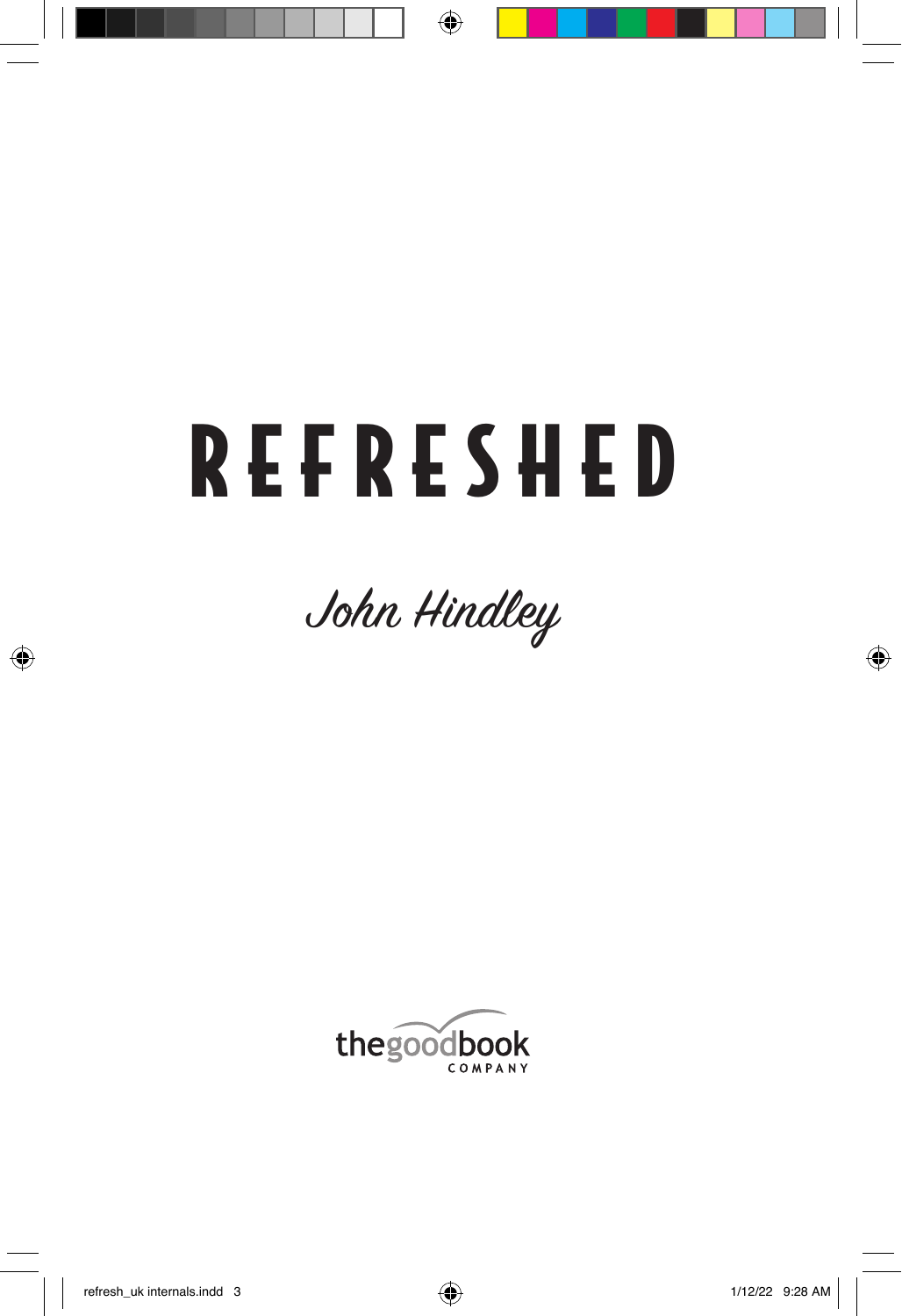# REFRESHED



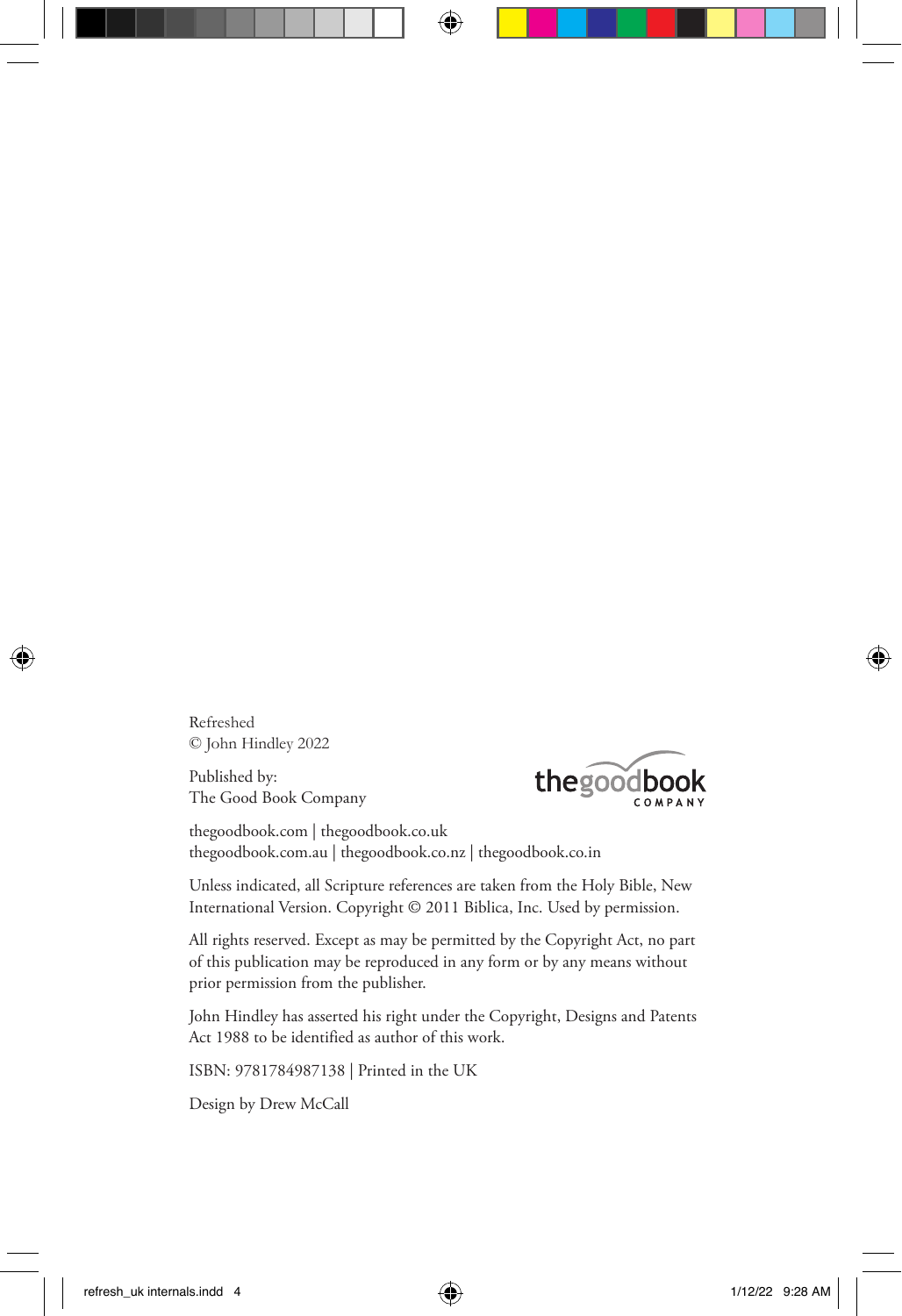Refreshed © John Hindley 2022

Published by: The Good Book Company



thegoodbook.com | thegoodbook.co.uk thegoodbook.com.au | thegoodbook.co.nz | thegoodbook.co.in

Unless indicated, all Scripture references are taken from the Holy Bible, New International Version. Copyright © 2011 Biblica, Inc. Used by permission.

All rights reserved. Except as may be permitted by the Copyright Act, no part of this publication may be reproduced in any form or by any means without prior permission from the publisher.

John Hindley has asserted his right under the Copyright, Designs and Patents Act 1988 to be identified as author of this work.

ISBN: 9781784987138 | Printed in the UK

Design by Drew McCall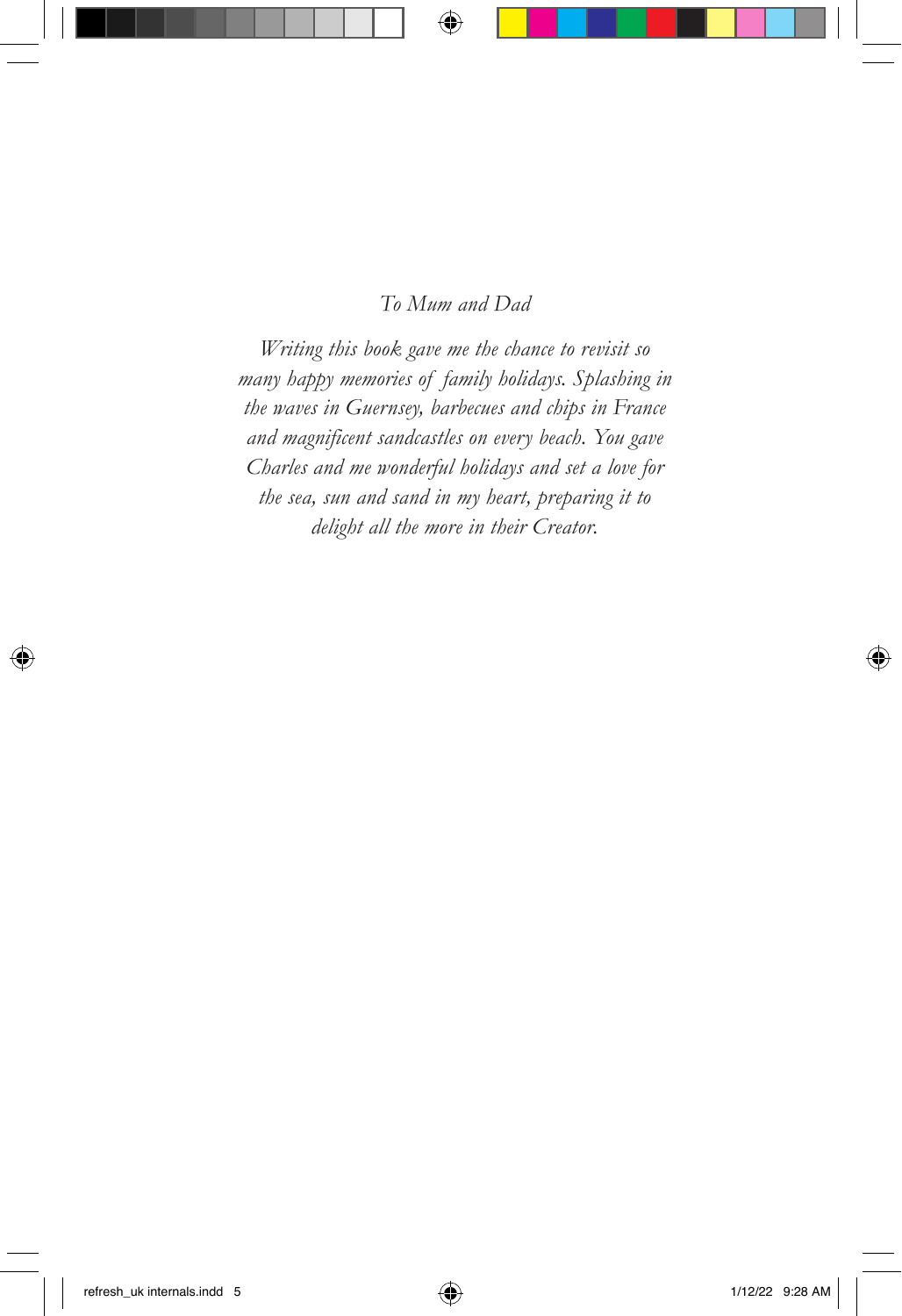#### *To Mum and Dad*

*Writing this book gave me the chance to revisit so many happy memories of family holidays. Splashing in the waves in Guernsey, barbecues and chips in France and magnificent sandcastles on every beach. You gave Charles and me wonderful holidays and set a love for the sea, sun and sand in my heart, preparing it to delight all the more in their Creator.*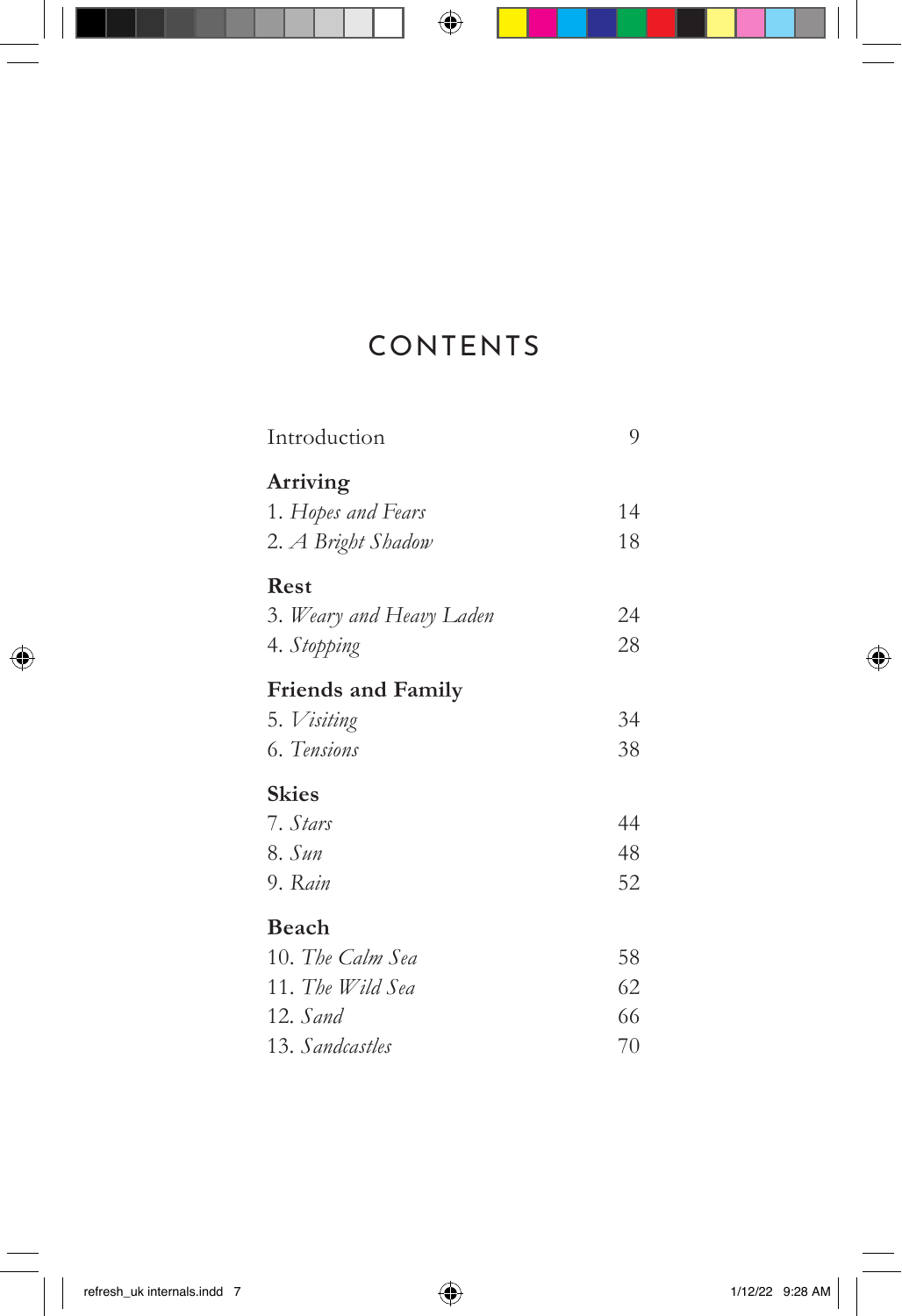## CONTENTS

| Introduction              | 9  |
|---------------------------|----|
| Arriving                  |    |
| 1. Hopes and Fears        | 14 |
| 2. A Bright Shadow        | 18 |
| Rest                      |    |
| 3. Weary and Heavy Laden  | 24 |
| 4. Stopping               | 28 |
| <b>Friends and Family</b> |    |
| 5. Visiting               | 34 |
| 6. Tensions               | 38 |
| <b>Skies</b>              |    |
| 7. Stars                  | 44 |
| 8. Sun                    | 48 |
| 9. Rain                   | 52 |
| Beach                     |    |
| 10. The Calm Sea          | 58 |
| 11. The Wild Sea          | 62 |
| 12. Sand                  | 66 |
| 13. Sandcastles           | 70 |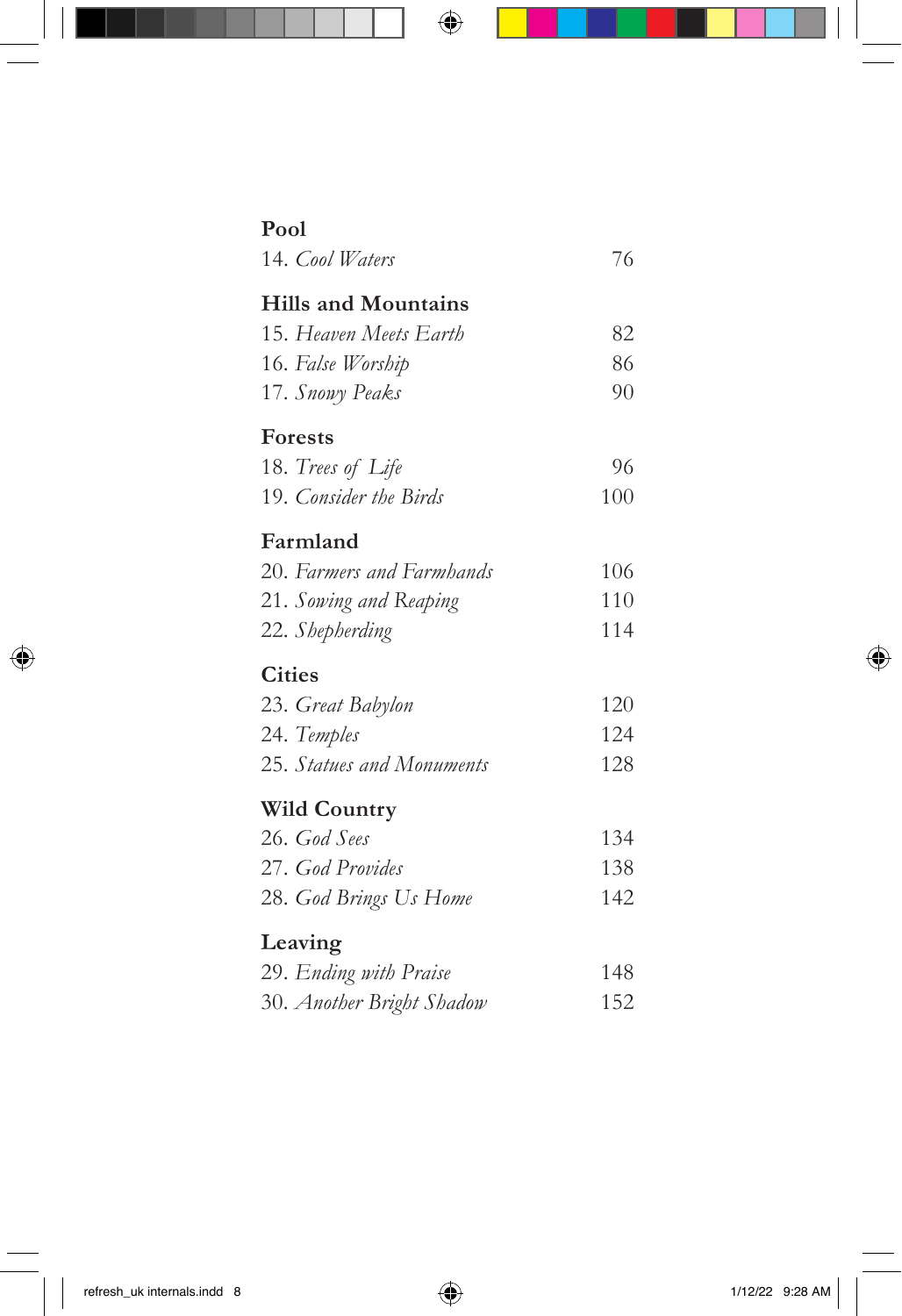| Pool                       |     |
|----------------------------|-----|
| 14. Cool Waters            | 76  |
| <b>Hills and Mountains</b> |     |
| 15. Heaven Meets Earth     | 82  |
| 16. False Worship          | 86  |
| 17. Snowy Peaks            | 90  |
| <b>Forests</b>             |     |
| 18. Trees of Life          | 96  |
| 19. Consider the Birds     | 100 |
| Farmland                   |     |
| 20. Farmers and Farmhands  | 106 |
| 21. Sowing and Reaping     | 110 |
| 22. Shepherding            | 114 |
| <b>Cities</b>              |     |
| 23. Great Babylon          | 120 |
| 24. Temples                | 124 |
| 25. Statues and Monuments  | 128 |
| <b>Wild Country</b>        |     |
| 26. God Sees               | 134 |
| 27. God Provides           | 138 |
| 28. God Brings Us Home     | 142 |
| Leaving                    |     |
| 29. Ending with Praise     | 148 |
| 30. Another Bright Shadow  | 152 |
|                            |     |
|                            |     |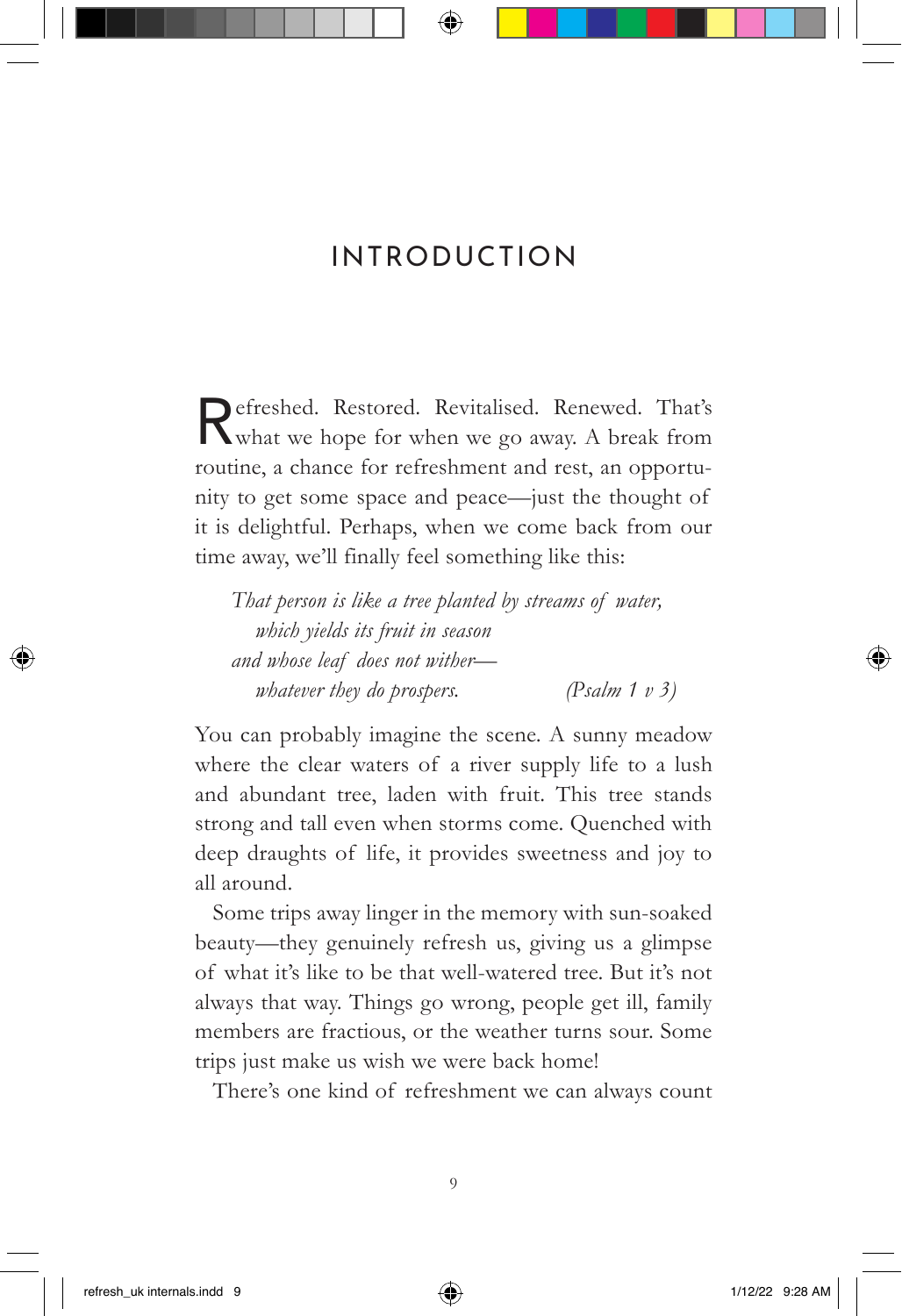### INTRODUCTION

Refreshed. Restored. Revitalised. Renewed. That's what we hope for when we go away. A break from routine, a chance for refreshment and rest, an opportunity to get some space and peace—just the thought of it is delightful. Perhaps, when we come back from our time away, we'll finally feel something like this:

*That person is like a tree planted by streams of water, which yields its fruit in season and whose leaf does not wither whatever they do prospers. (Psalm 1 v 3)*

You can probably imagine the scene. A sunny meadow where the clear waters of a river supply life to a lush and abundant tree, laden with fruit. This tree stands strong and tall even when storms come. Quenched with deep draughts of life, it provides sweetness and joy to all around.

Some trips away linger in the memory with sun-soaked beauty—they genuinely refresh us, giving us a glimpse of what it's like to be that well-watered tree. But it's not always that way. Things go wrong, people get ill, family members are fractious, or the weather turns sour. Some trips just make us wish we were back home!

There's one kind of refreshment we can always count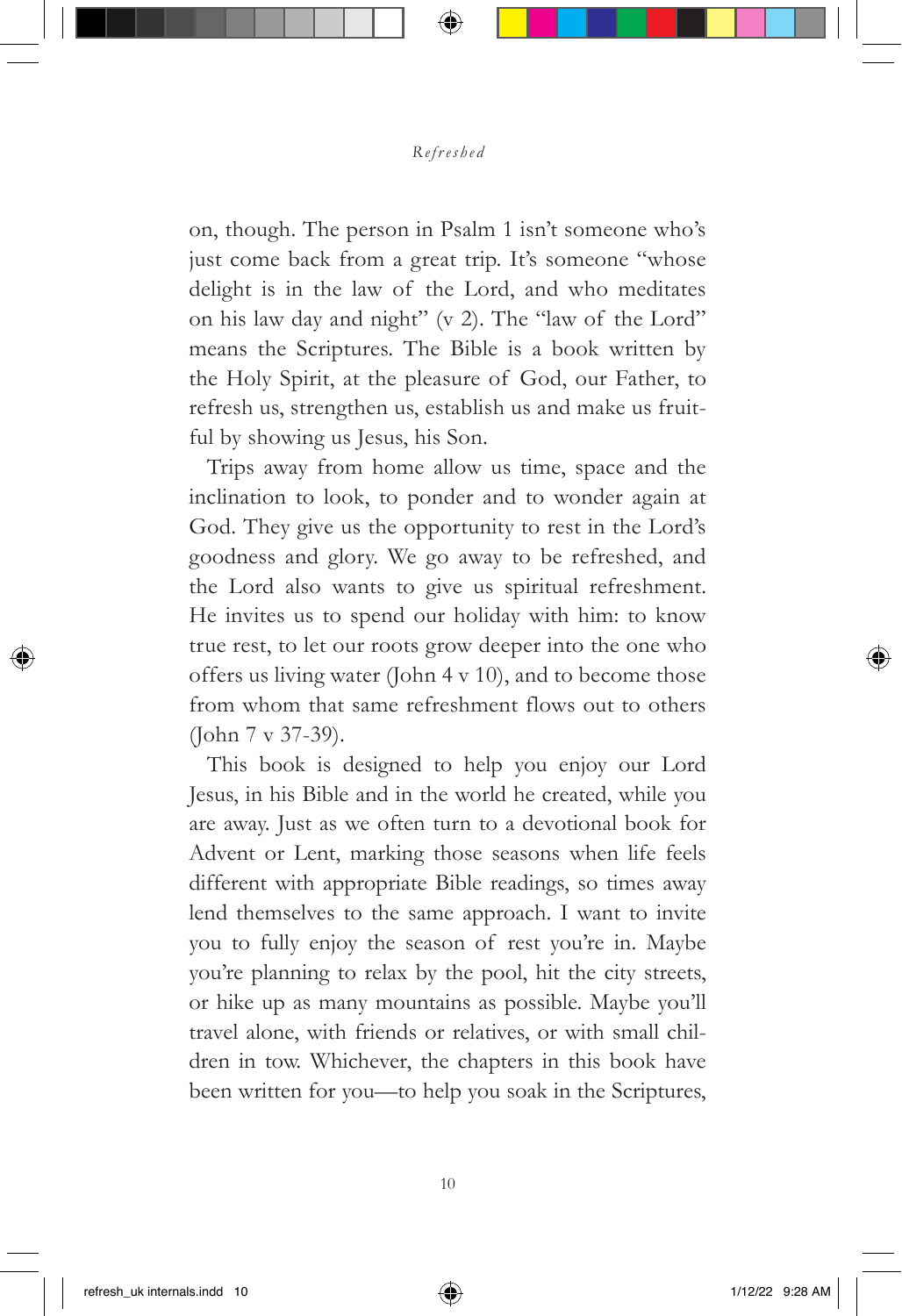#### *Refreshed*

on, though. The person in Psalm 1 isn't someone who's just come back from a great trip. It's someone "whose delight is in the law of the Lord, and who meditates on his law day and night" (v 2). The "law of the Lord" means the Scriptures. The Bible is a book written by the Holy Spirit, at the pleasure of God, our Father, to refresh us, strengthen us, establish us and make us fruitful by showing us Jesus, his Son.

Trips away from home allow us time, space and the inclination to look, to ponder and to wonder again at God. They give us the opportunity to rest in the Lord's goodness and glory. We go away to be refreshed, and the Lord also wants to give us spiritual refreshment. He invites us to spend our holiday with him: to know true rest, to let our roots grow deeper into the one who offers us living water (John  $4 \text{ v } 10$ ), and to become those from whom that same refreshment flows out to others (John 7 v 37-39).

This book is designed to help you enjoy our Lord Jesus, in his Bible and in the world he created, while you are away. Just as we often turn to a devotional book for Advent or Lent, marking those seasons when life feels different with appropriate Bible readings, so times away lend themselves to the same approach. I want to invite you to fully enjoy the season of rest you're in. Maybe you're planning to relax by the pool, hit the city streets, or hike up as many mountains as possible. Maybe you'll travel alone, with friends or relatives, or with small children in tow. Whichever, the chapters in this book have been written for you—to help you soak in the Scriptures,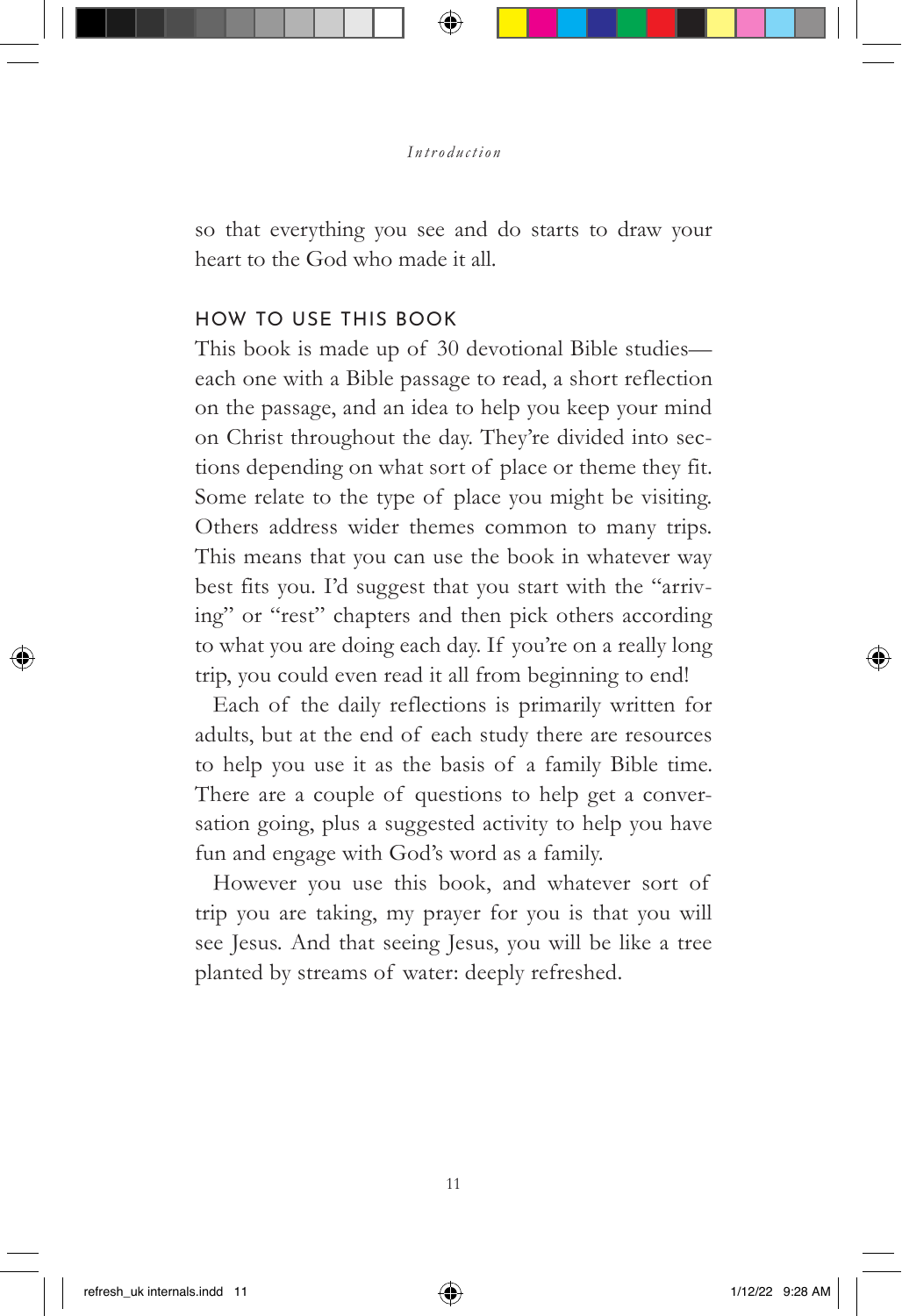#### *Introduction*

so that everything you see and do starts to draw your heart to the God who made it all.

#### HOW TO USE THIS BOOK

This book is made up of 30 devotional Bible studies each one with a Bible passage to read, a short reflection on the passage, and an idea to help you keep your mind on Christ throughout the day. They're divided into sections depending on what sort of place or theme they fit. Some relate to the type of place you might be visiting. Others address wider themes common to many trips. This means that you can use the book in whatever way best fits you. I'd suggest that you start with the "arriving" or "rest" chapters and then pick others according to what you are doing each day. If you're on a really long trip, you could even read it all from beginning to end!

Each of the daily reflections is primarily written for adults, but at the end of each study there are resources to help you use it as the basis of a family Bible time. There are a couple of questions to help get a conversation going, plus a suggested activity to help you have fun and engage with God's word as a family.

However you use this book, and whatever sort of trip you are taking, my prayer for you is that you will see Jesus. And that seeing Jesus, you will be like a tree planted by streams of water: deeply refreshed.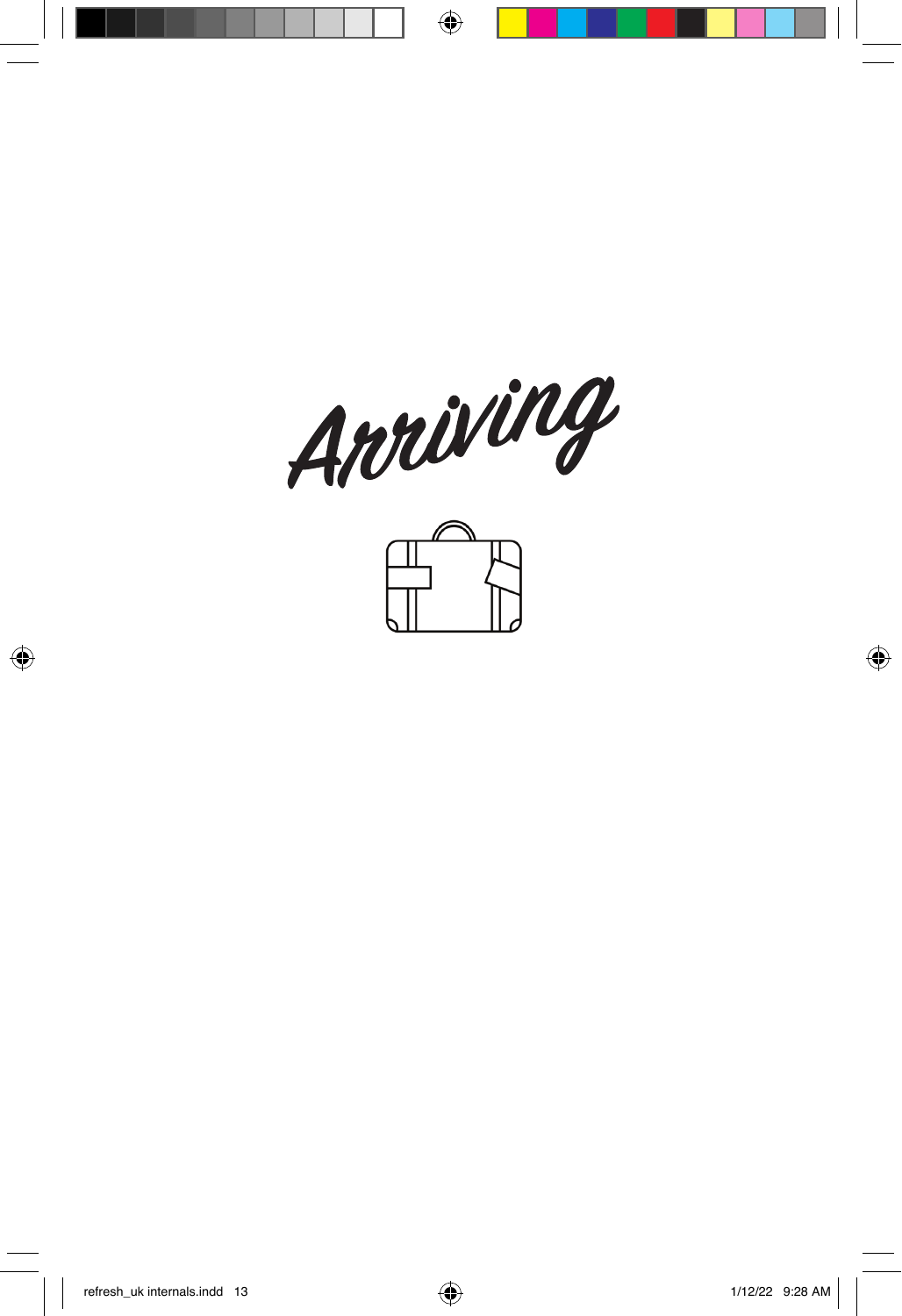

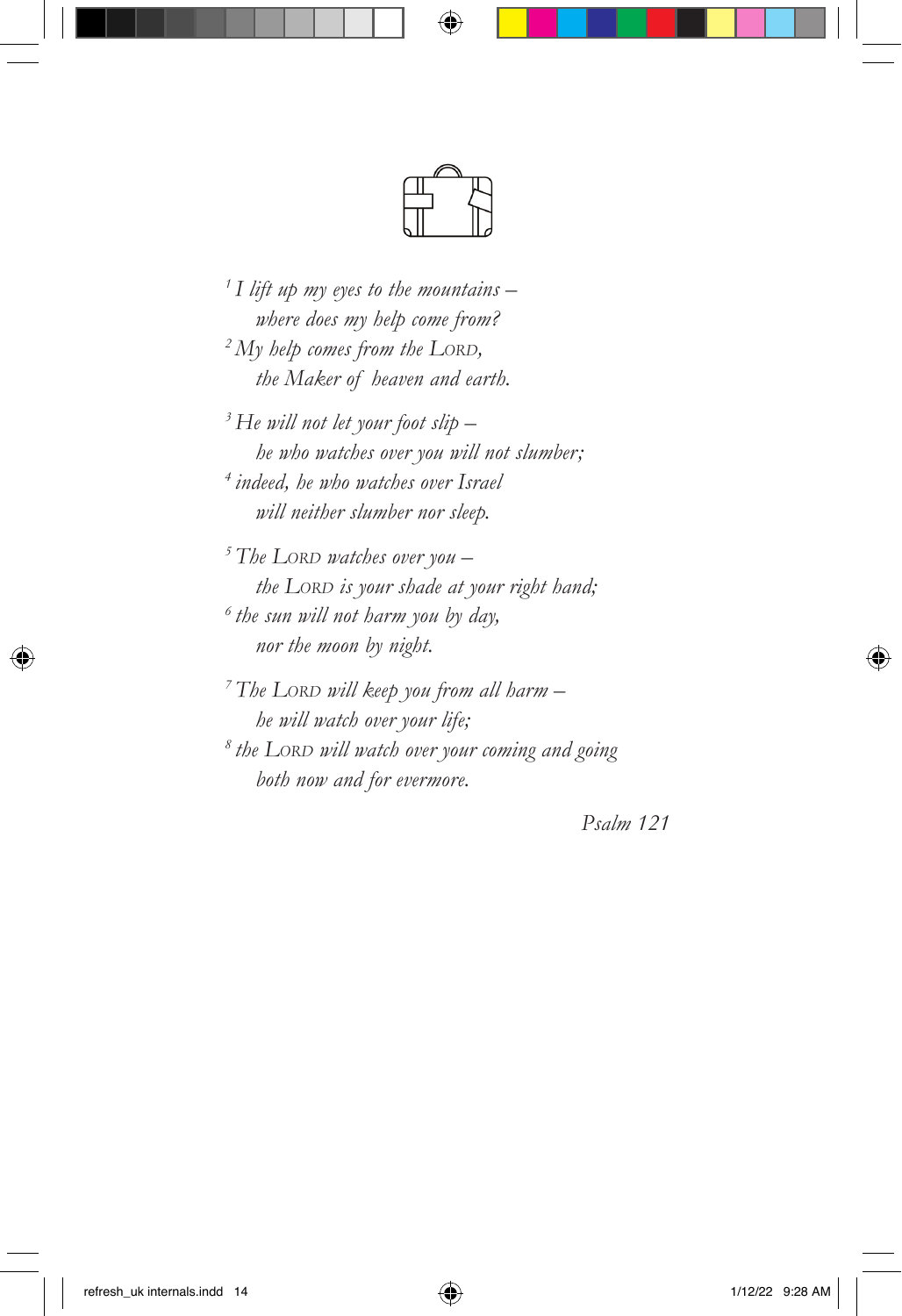*1 I lift up my eyes to the mountains – where does my help come from? 2 My help comes from the LORD, the Maker of heaven and earth.*

*3 He will not let your foot slip – he who watches over you will not slumber; 4 indeed, he who watches over Israel will neither slumber nor sleep.*

*5 The LORD watches over you – the LORD is your shade at your right hand; 6 the sun will not harm you by day, nor the moon by night.*

*7 The LORD will keep you from all harm – he will watch over your life; 8 the LORD will watch over your coming and going both now and for evermore.*

*Psalm 121*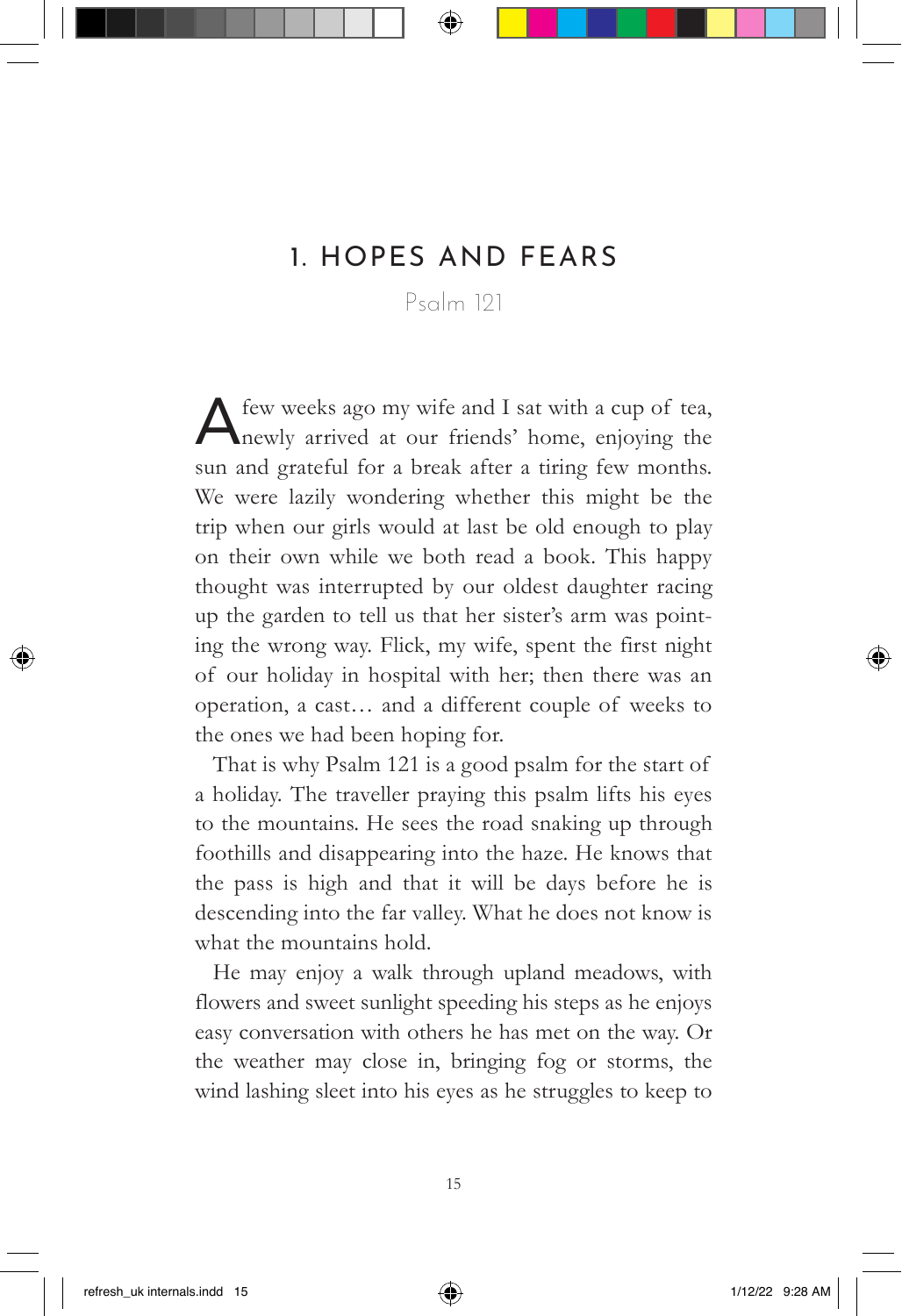## 1. HOPES AND FEARS

Psalm 121

A few weeks ago my wife and I sat with a cup of tea, newly arrived at our friends' home, enjoying the sun and grateful for a break after a tiring few months. We were lazily wondering whether this might be the trip when our girls would at last be old enough to play on their own while we both read a book. This happy thought was interrupted by our oldest daughter racing up the garden to tell us that her sister's arm was pointing the wrong way. Flick, my wife, spent the first night of our holiday in hospital with her; then there was an operation, a cast… and a different couple of weeks to the ones we had been hoping for.

That is why Psalm 121 is a good psalm for the start of a holiday. The traveller praying this psalm lifts his eyes to the mountains. He sees the road snaking up through foothills and disappearing into the haze. He knows that the pass is high and that it will be days before he is descending into the far valley. What he does not know is what the mountains hold.

He may enjoy a walk through upland meadows, with flowers and sweet sunlight speeding his steps as he enjoys easy conversation with others he has met on the way. Or the weather may close in, bringing fog or storms, the wind lashing sleet into his eyes as he struggles to keep to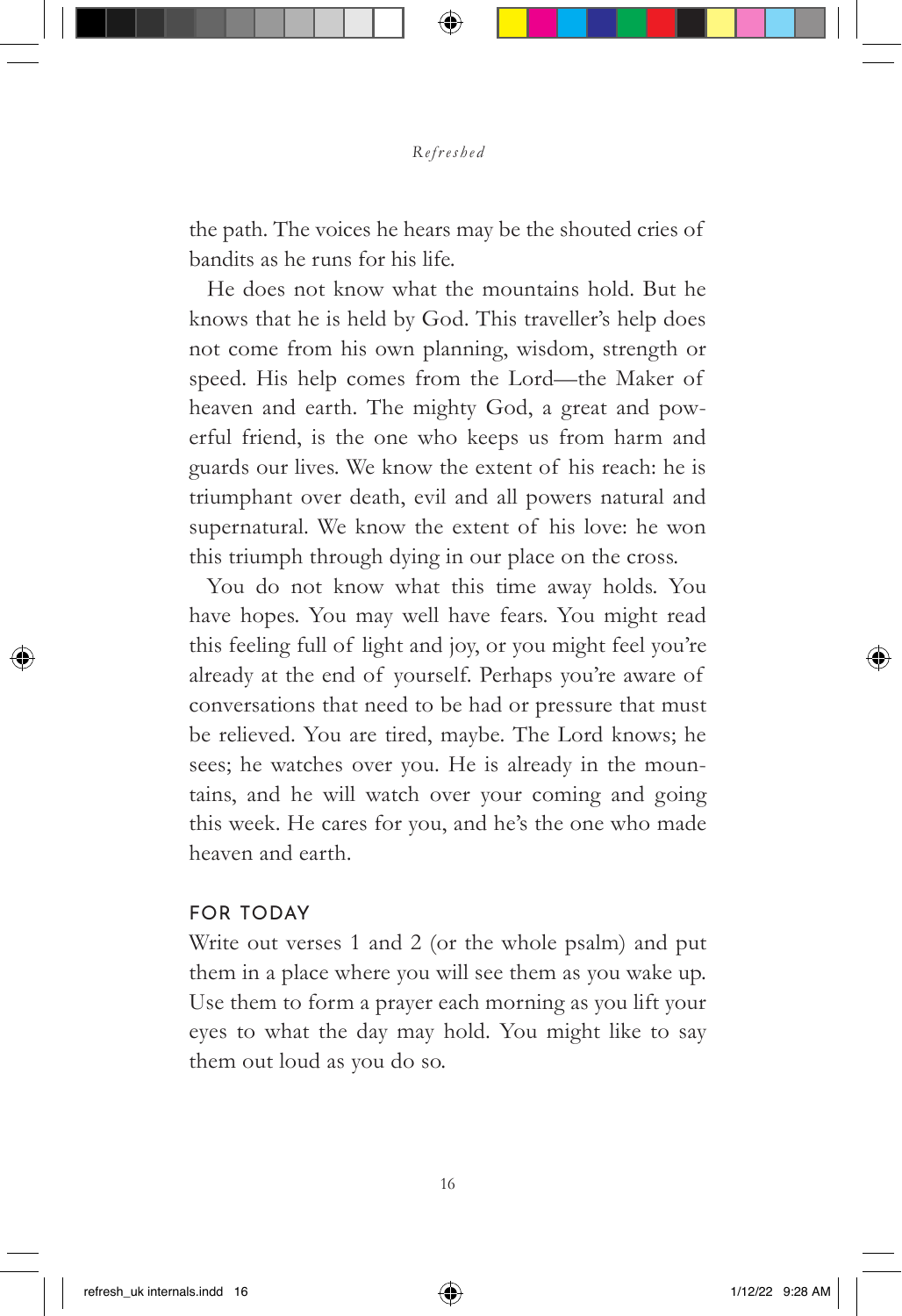the path. The voices he hears may be the shouted cries of bandits as he runs for his life.

He does not know what the mountains hold. But he knows that he is held by God. This traveller's help does not come from his own planning, wisdom, strength or speed. His help comes from the Lord—the Maker of heaven and earth. The mighty God, a great and powerful friend, is the one who keeps us from harm and guards our lives. We know the extent of his reach: he is triumphant over death, evil and all powers natural and supernatural. We know the extent of his love: he won this triumph through dying in our place on the cross.

You do not know what this time away holds. You have hopes. You may well have fears. You might read this feeling full of light and joy, or you might feel you're already at the end of yourself. Perhaps you're aware of conversations that need to be had or pressure that must be relieved. You are tired, maybe. The Lord knows; he sees; he watches over you. He is already in the mountains, and he will watch over your coming and going this week. He cares for you, and he's the one who made heaven and earth.

#### FOR TODAY

Write out verses 1 and 2 (or the whole psalm) and put them in a place where you will see them as you wake up. Use them to form a prayer each morning as you lift your eyes to what the day may hold. You might like to say them out loud as you do so.